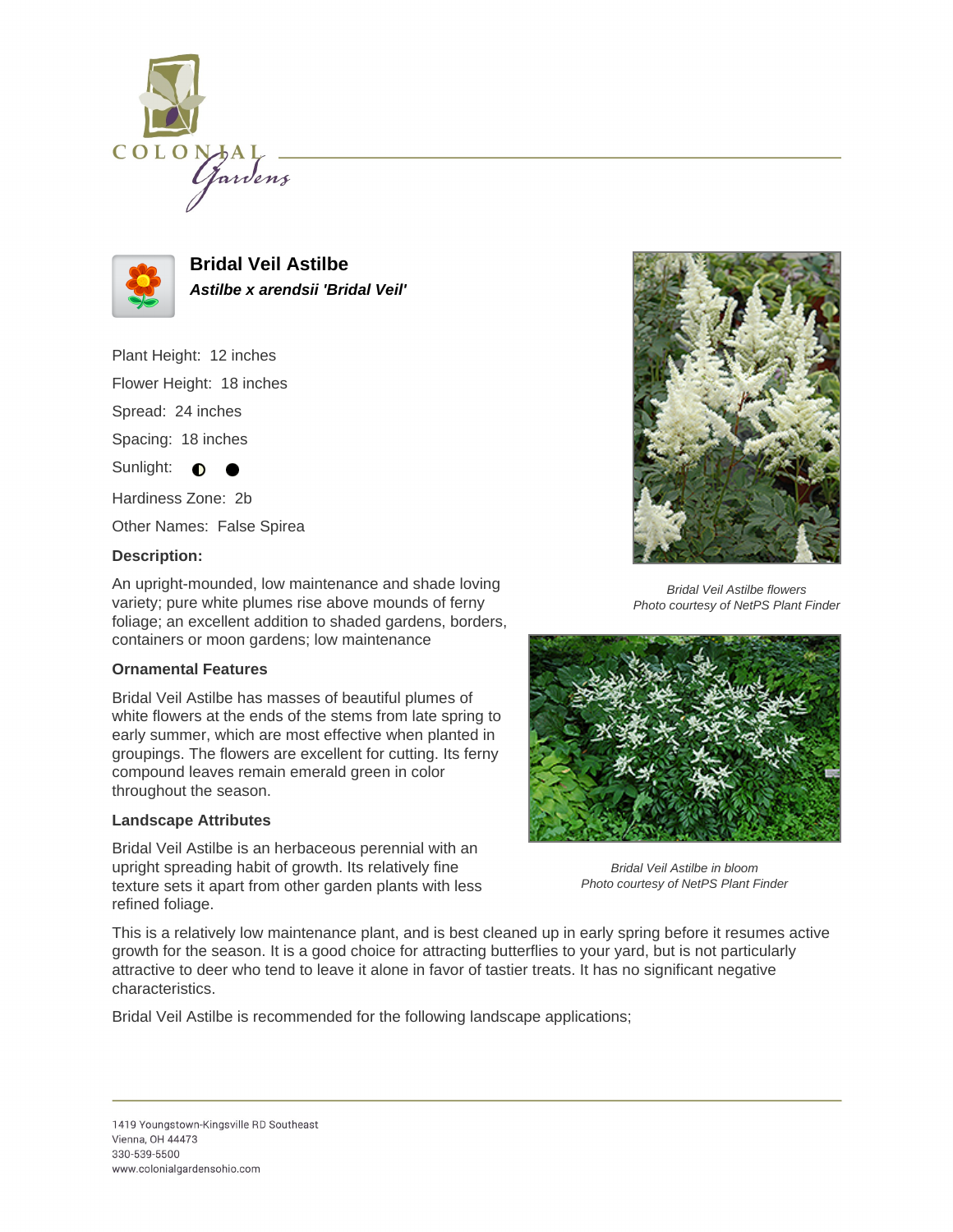



**Bridal Veil Astilbe Astilbe x arendsii 'Bridal Veil'**

Plant Height: 12 inches

Flower Height: 18 inches

Spread: 24 inches

Spacing: 18 inches

Sunlight:  $\bigcirc$ 

Hardiness Zone: 2b

Other Names: False Spirea

## **Description:**

An upright-mounded, low maintenance and shade loving variety; pure white plumes rise above mounds of ferny foliage; an excellent addition to shaded gardens, borders, containers or moon gardens; low maintenance

### **Ornamental Features**

Bridal Veil Astilbe has masses of beautiful plumes of white flowers at the ends of the stems from late spring to early summer, which are most effective when planted in groupings. The flowers are excellent for cutting. Its ferny compound leaves remain emerald green in color throughout the season.

### **Landscape Attributes**

Bridal Veil Astilbe is an herbaceous perennial with an upright spreading habit of growth. Its relatively fine texture sets it apart from other garden plants with less refined foliage.



Bridal Veil Astilbe flowers Photo courtesy of NetPS Plant Finder



Bridal Veil Astilbe in bloom Photo courtesy of NetPS Plant Finder

This is a relatively low maintenance plant, and is best cleaned up in early spring before it resumes active growth for the season. It is a good choice for attracting butterflies to your yard, but is not particularly attractive to deer who tend to leave it alone in favor of tastier treats. It has no significant negative characteristics.

Bridal Veil Astilbe is recommended for the following landscape applications;

#### 1419 Youngstown-Kingsville RD Southeast Vienna, OH 44473 330-539-5500 www.colonialgardensohio.com